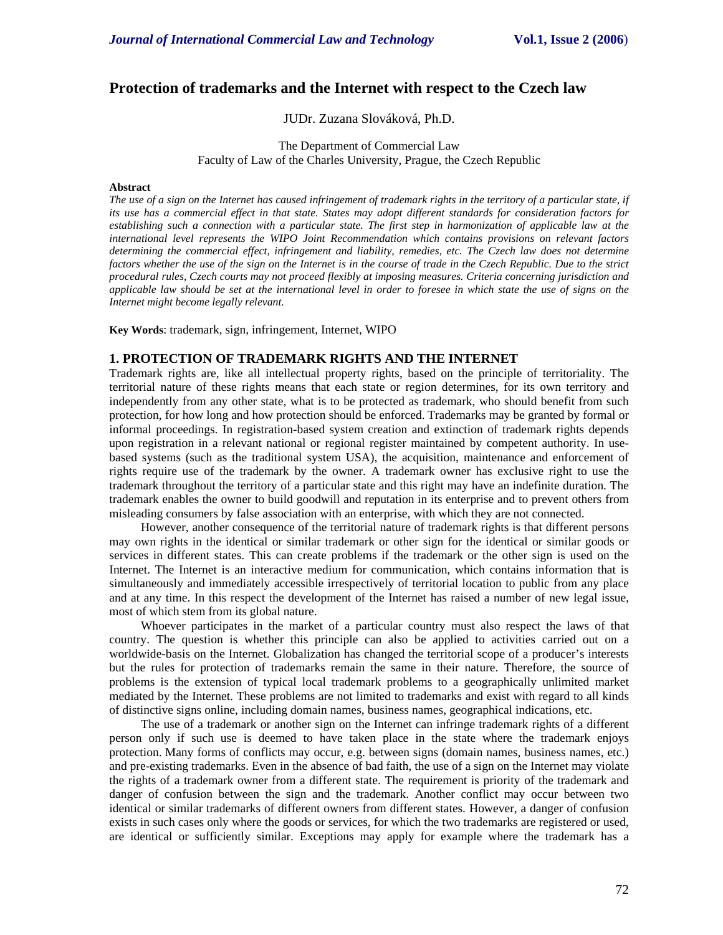# **Protection of trademarks and the Internet with respect to the Czech law**

## JUDr. Zuzana Slováková, Ph.D.

### The Department of Commercial Law Faculty of Law of the Charles University, Prague, the Czech Republic

#### **Abstract**

*The use of a sign on the Internet has caused infringement of trademark rights in the territory of a particular state, if its use has a commercial effect in that state. States may adopt different standards for consideration factors for establishing such a connection with a particular state. The first step in harmonization of applicable law at the international level represents the WIPO Joint Recommendation which contains provisions on relevant factors determining the commercial effect, infringement and liability, remedies, etc. The Czech law does not determine factors whether the use of the sign on the Internet is in the course of trade in the Czech Republic. Due to the strict procedural rules, Czech courts may not proceed flexibly at imposing measures. Criteria concerning jurisdiction and applicable law should be set at the international level in order to foresee in which state the use of signs on the Internet might become legally relevant.* 

**Key Words**: trademark, sign, infringement, Internet, WIPO

### **1. PROTECTION OF TRADEMARK RIGHTS AND THE INTERNET**

Trademark rights are, like all intellectual property rights, based on the principle of territoriality. The territorial nature of these rights means that each state or region determines, for its own territory and independently from any other state, what is to be protected as trademark, who should benefit from such protection, for how long and how protection should be enforced. Trademarks may be granted by formal or informal proceedings. In registration-based system creation and extinction of trademark rights depends upon registration in a relevant national or regional register maintained by competent authority. In usebased systems (such as the traditional system USA), the acquisition, maintenance and enforcement of rights require use of the trademark by the owner. A trademark owner has exclusive right to use the trademark throughout the territory of a particular state and this right may have an indefinite duration. The trademark enables the owner to build goodwill and reputation in its enterprise and to prevent others from misleading consumers by false association with an enterprise, with which they are not connected.

However, another consequence of the territorial nature of trademark rights is that different persons may own rights in the identical or similar trademark or other sign for the identical or similar goods or services in different states. This can create problems if the trademark or the other sign is used on the Internet. The Internet is an interactive medium for communication, which contains information that is simultaneously and immediately accessible irrespectively of territorial location to public from any place and at any time. In this respect the development of the Internet has raised a number of new legal issue, most of which stem from its global nature.

Whoever participates in the market of a particular country must also respect the laws of that country. The question is whether this principle can also be applied to activities carried out on a worldwide-basis on the Internet. Globalization has changed the territorial scope of a producer's interests but the rules for protection of trademarks remain the same in their nature. Therefore, the source of problems is the extension of typical local trademark problems to a geographically unlimited market mediated by the Internet. These problems are not limited to trademarks and exist with regard to all kinds of distinctive signs online, including domain names, business names, geographical indications, etc.

The use of a trademark or another sign on the Internet can infringe trademark rights of a different person only if such use is deemed to have taken place in the state where the trademark enjoys protection. Many forms of conflicts may occur, e.g. between signs (domain names, business names, etc.) and pre-existing trademarks. Even in the absence of bad faith, the use of a sign on the Internet may violate the rights of a trademark owner from a different state. The requirement is priority of the trademark and danger of confusion between the sign and the trademark. Another conflict may occur between two identical or similar trademarks of different owners from different states. However, a danger of confusion exists in such cases only where the goods or services, for which the two trademarks are registered or used, are identical or sufficiently similar. Exceptions may apply for example where the trademark has a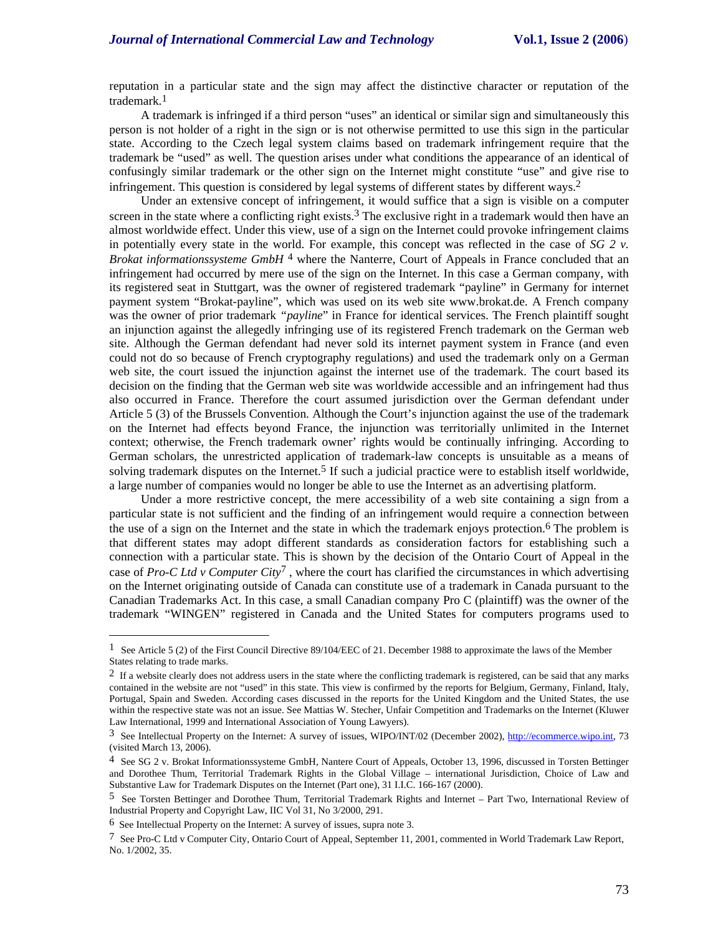reputation in a particular state and the sign may affect the distinctive character or reputation of the trademark.1

A trademark is infringed if a third person "uses" an identical or similar sign and simultaneously this person is not holder of a right in the sign or is not otherwise permitted to use this sign in the particular state. According to the Czech legal system claims based on trademark infringement require that the trademark be "used" as well. The question arises under what conditions the appearance of an identical of confusingly similar trademark or the other sign on the Internet might constitute "use" and give rise to infringement. This question is considered by legal systems of different states by different ways.2

Under an extensive concept of infringement, it would suffice that a sign is visible on a computer screen in the state where a conflicting right exists.<sup>3</sup> The exclusive right in a trademark would then have an almost worldwide effect. Under this view, use of a sign on the Internet could provoke infringement claims in potentially every state in the world. For example, this concept was reflected in the case of *SG 2 v. Brokat informationssysteme GmbH* 4 where the Nanterre, Court of Appeals in France concluded that an infringement had occurred by mere use of the sign on the Internet. In this case a German company, with its registered seat in Stuttgart, was the owner of registered trademark "payline" in Germany for internet payment system "Brokat-payline", which was used on its web site www.brokat.de. A French company was the owner of prior trademark *"payline*" in France for identical services. The French plaintiff sought an injunction against the allegedly infringing use of its registered French trademark on the German web site. Although the German defendant had never sold its internet payment system in France (and even could not do so because of French cryptography regulations) and used the trademark only on a German web site, the court issued the injunction against the internet use of the trademark. The court based its decision on the finding that the German web site was worldwide accessible and an infringement had thus also occurred in France. Therefore the court assumed jurisdiction over the German defendant under Article 5 (3) of the Brussels Convention. Although the Court's injunction against the use of the trademark on the Internet had effects beyond France, the injunction was territorially unlimited in the Internet context; otherwise, the French trademark owner' rights would be continually infringing. According to German scholars, the unrestricted application of trademark-law concepts is unsuitable as a means of solving trademark disputes on the Internet.<sup>5</sup> If such a judicial practice were to establish itself worldwide, a large number of companies would no longer be able to use the Internet as an advertising platform.

Under a more restrictive concept, the mere accessibility of a web site containing a sign from a particular state is not sufficient and the finding of an infringement would require a connection between the use of a sign on the Internet and the state in which the trademark enjoys protection.<sup>6</sup> The problem is that different states may adopt different standards as consideration factors for establishing such a connection with a particular state. This is shown by the decision of the Ontario Court of Appeal in the case of *Pro-C Ltd v Computer City*7 , where the court has clarified the circumstances in which advertising on the Internet originating outside of Canada can constitute use of a trademark in Canada pursuant to the Canadian Trademarks Act. In this case, a small Canadian company Pro C (plaintiff) was the owner of the trademark "WINGEN" registered in Canada and the United States for computers programs used to

 $\overline{a}$ 

<sup>1</sup> See Article 5 (2) of the First Council Directive 89/104/EEC of 21. December 1988 to approximate the laws of the Member States relating to trade marks.

<sup>&</sup>lt;sup>2</sup> If a website clearly does not address users in the state where the conflicting trademark is registered, can be said that any marks contained in the website are not "used" in this state. This view is confirmed by the reports for Belgium, Germany, Finland, Italy, Portugal, Spain and Sweden. According cases discussed in the reports for the United Kingdom and the United States, the use within the respective state was not an issue. See Mattias W. Stecher, Unfair Competition and Trademarks on the Internet (Kluwer Law International, 1999 and International Association of Young Lawyers).

<sup>3</sup> See Intellectual Property on the Internet: A survey of issues, WIPO/INT/02 (December 2002), http://ecommerce.wipo.int, 73 (visited March 13, 2006).

 $4$  See SG 2 v. Brokat Informationssysteme GmbH, Nantere Court of Appeals, October 13, 1996, discussed in Torsten Bettinger and Dorothee Thum, Territorial Trademark Rights in the Global Village – international Jurisdiction, Choice of Law and Substantive Law for Trademark Disputes on the Internet (Part one), 31 I.I.C. 166-167 (2000).

<sup>5</sup> See Torsten Bettinger and Dorothee Thum, Territorial Trademark Rights and Internet – Part Two, International Review of Industrial Property and Copyright Law, IIC Vol 31, No 3/2000, 291.

<sup>6</sup> See Intellectual Property on the Internet: A survey of issues, supra note 3.

<sup>7</sup> See Pro-C Ltd v Computer City, Ontario Court of Appeal, September 11, 2001, commented in World Trademark Law Report, No. 1/2002, 35.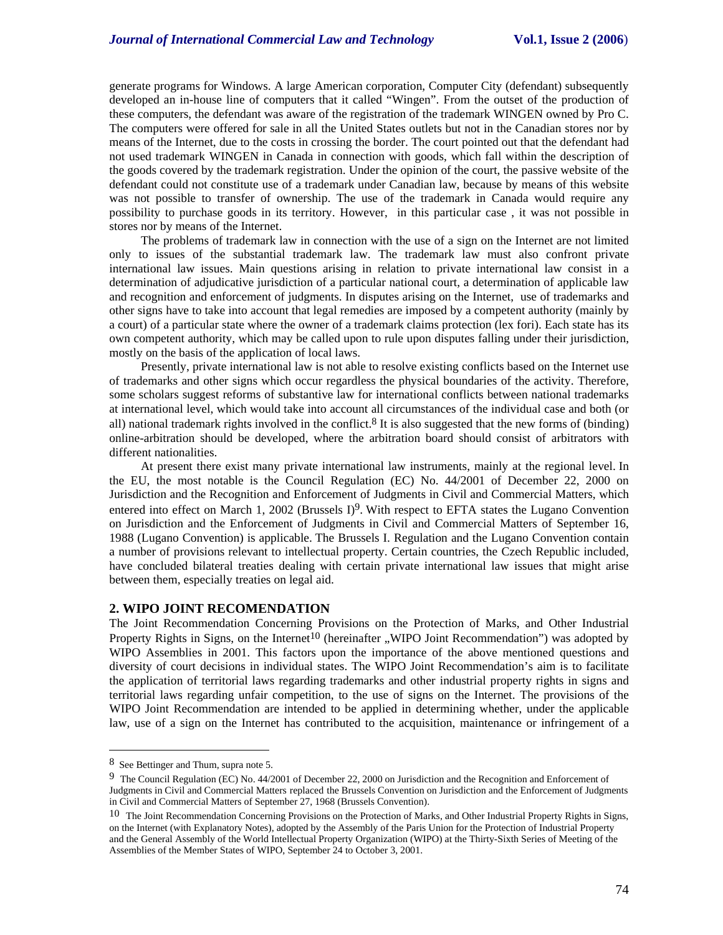generate programs for Windows. A large American corporation, Computer City (defendant) subsequently developed an in-house line of computers that it called "Wingen". From the outset of the production of these computers, the defendant was aware of the registration of the trademark WINGEN owned by Pro C. The computers were offered for sale in all the United States outlets but not in the Canadian stores nor by means of the Internet, due to the costs in crossing the border. The court pointed out that the defendant had not used trademark WINGEN in Canada in connection with goods, which fall within the description of the goods covered by the trademark registration. Under the opinion of the court, the passive website of the defendant could not constitute use of a trademark under Canadian law, because by means of this website was not possible to transfer of ownership. The use of the trademark in Canada would require any possibility to purchase goods in its territory. However, in this particular case , it was not possible in stores nor by means of the Internet.

The problems of trademark law in connection with the use of a sign on the Internet are not limited only to issues of the substantial trademark law. The trademark law must also confront private international law issues. Main questions arising in relation to private international law consist in a determination of adjudicative jurisdiction of a particular national court, a determination of applicable law and recognition and enforcement of judgments. In disputes arising on the Internet, use of trademarks and other signs have to take into account that legal remedies are imposed by a competent authority (mainly by a court) of a particular state where the owner of a trademark claims protection (lex fori). Each state has its own competent authority, which may be called upon to rule upon disputes falling under their jurisdiction, mostly on the basis of the application of local laws.

Presently, private international law is not able to resolve existing conflicts based on the Internet use of trademarks and other signs which occur regardless the physical boundaries of the activity. Therefore, some scholars suggest reforms of substantive law for international conflicts between national trademarks at international level, which would take into account all circumstances of the individual case and both (or all) national trademark rights involved in the conflict.<sup>8</sup> It is also suggested that the new forms of (binding) online-arbitration should be developed, where the arbitration board should consist of arbitrators with different nationalities.

At present there exist many private international law instruments, mainly at the regional level. In the EU, the most notable is the Council Regulation (EC) No. 44/2001 of December 22, 2000 on Jurisdiction and the Recognition and Enforcement of Judgments in Civil and Commercial Matters, which entered into effect on March 1, 2002 (Brussels  $D<sup>9</sup>$ . With respect to EFTA states the Lugano Convention on Jurisdiction and the Enforcement of Judgments in Civil and Commercial Matters of September 16, 1988 (Lugano Convention) is applicable. The Brussels I. Regulation and the Lugano Convention contain a number of provisions relevant to intellectual property. Certain countries, the Czech Republic included, have concluded bilateral treaties dealing with certain private international law issues that might arise between them, especially treaties on legal aid.

### **2. WIPO JOINT RECOMENDATION**

The Joint Recommendation Concerning Provisions on the Protection of Marks, and Other Industrial Property Rights in Signs, on the Internet<sup>10</sup> (hereinafter "WIPO Joint Recommendation") was adopted by WIPO Assemblies in 2001. This factors upon the importance of the above mentioned questions and diversity of court decisions in individual states. The WIPO Joint Recommendation's aim is to facilitate the application of territorial laws regarding trademarks and other industrial property rights in signs and territorial laws regarding unfair competition, to the use of signs on the Internet. The provisions of the WIPO Joint Recommendation are intended to be applied in determining whether, under the applicable law, use of a sign on the Internet has contributed to the acquisition, maintenance or infringement of a

 $\overline{a}$ 

<sup>8</sup> See Bettinger and Thum, supra note 5.

<sup>9</sup> The Council Regulation (EC) No. 44/2001 of December 22, 2000 on Jurisdiction and the Recognition and Enforcement of Judgments in Civil and Commercial Matters replaced the Brussels Convention on Jurisdiction and the Enforcement of Judgments in Civil and Commercial Matters of September 27, 1968 (Brussels Convention).

<sup>&</sup>lt;sup>10</sup> The Joint Recommendation Concerning Provisions on the Protection of Marks, and Other Industrial Property Rights in Signs, on the Internet (with Explanatory Notes), adopted by the Assembly of the Paris Union for the Protection of Industrial Property and the General Assembly of the World Intellectual Property Organization (WIPO) at the Thirty-Sixth Series of Meeting of the Assemblies of the Member States of WIPO, September 24 to October 3, 2001.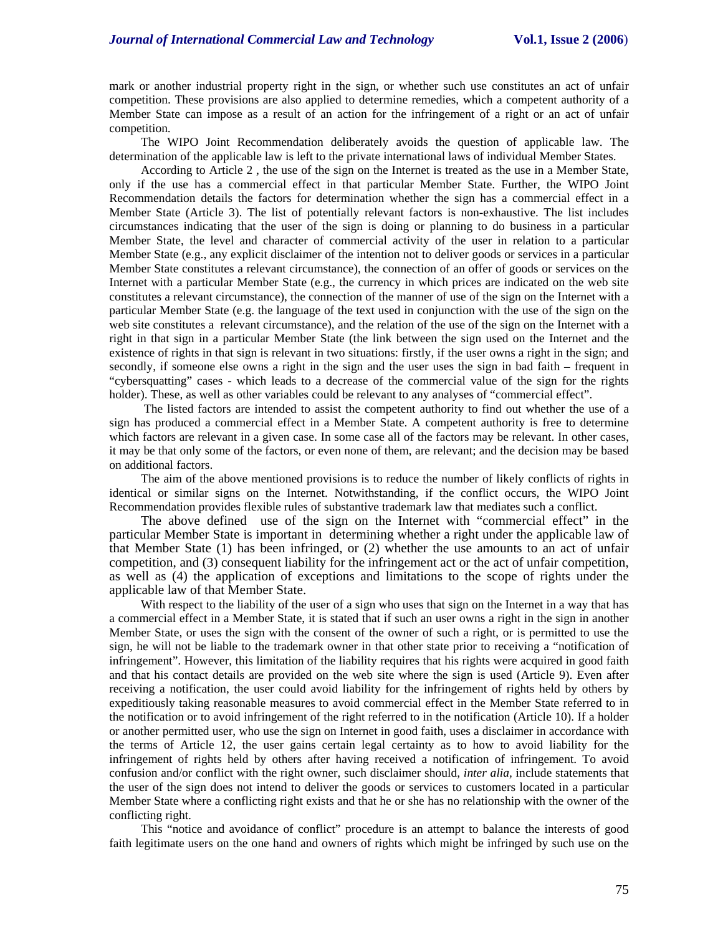mark or another industrial property right in the sign, or whether such use constitutes an act of unfair competition. These provisions are also applied to determine remedies, which a competent authority of a Member State can impose as a result of an action for the infringement of a right or an act of unfair competition.

The WIPO Joint Recommendation deliberately avoids the question of applicable law. The determination of the applicable law is left to the private international laws of individual Member States.

According to Article 2 , the use of the sign on the Internet is treated as the use in a Member State, only if the use has a commercial effect in that particular Member State. Further, the WIPO Joint Recommendation details the factors for determination whether the sign has a commercial effect in a Member State (Article 3). The list of potentially relevant factors is non-exhaustive. The list includes circumstances indicating that the user of the sign is doing or planning to do business in a particular Member State, the level and character of commercial activity of the user in relation to a particular Member State (e.g., any explicit disclaimer of the intention not to deliver goods or services in a particular Member State constitutes a relevant circumstance), the connection of an offer of goods or services on the Internet with a particular Member State (e.g., the currency in which prices are indicated on the web site constitutes a relevant circumstance), the connection of the manner of use of the sign on the Internet with a particular Member State (e.g. the language of the text used in conjunction with the use of the sign on the web site constitutes a relevant circumstance), and the relation of the use of the sign on the Internet with a right in that sign in a particular Member State (the link between the sign used on the Internet and the existence of rights in that sign is relevant in two situations: firstly, if the user owns a right in the sign; and secondly, if someone else owns a right in the sign and the user uses the sign in bad faith – frequent in "cybersquatting" cases - which leads to a decrease of the commercial value of the sign for the rights holder). These, as well as other variables could be relevant to any analyses of "commercial effect".

 The listed factors are intended to assist the competent authority to find out whether the use of a sign has produced a commercial effect in a Member State. A competent authority is free to determine which factors are relevant in a given case. In some case all of the factors may be relevant. In other cases, it may be that only some of the factors, or even none of them, are relevant; and the decision may be based on additional factors.

The aim of the above mentioned provisions is to reduce the number of likely conflicts of rights in identical or similar signs on the Internet. Notwithstanding, if the conflict occurs, the WIPO Joint Recommendation provides flexible rules of substantive trademark law that mediates such a conflict.

The above defined use of the sign on the Internet with "commercial effect" in the particular Member State is important in determining whether a right under the applicable law of that Member State (1) has been infringed, or (2) whether the use amounts to an act of unfair competition, and (3) consequent liability for the infringement act or the act of unfair competition, as well as (4) the application of exceptions and limitations to the scope of rights under the applicable law of that Member State.

With respect to the liability of the user of a sign who uses that sign on the Internet in a way that has a commercial effect in a Member State, it is stated that if such an user owns a right in the sign in another Member State, or uses the sign with the consent of the owner of such a right, or is permitted to use the sign, he will not be liable to the trademark owner in that other state prior to receiving a "notification of infringement". However, this limitation of the liability requires that his rights were acquired in good faith and that his contact details are provided on the web site where the sign is used (Article 9). Even after receiving a notification, the user could avoid liability for the infringement of rights held by others by expeditiously taking reasonable measures to avoid commercial effect in the Member State referred to in the notification or to avoid infringement of the right referred to in the notification (Article 10). If a holder or another permitted user, who use the sign on Internet in good faith, uses a disclaimer in accordance with the terms of Article 12, the user gains certain legal certainty as to how to avoid liability for the infringement of rights held by others after having received a notification of infringement. To avoid confusion and/or conflict with the right owner, such disclaimer should, *inter alia,* include statements that the user of the sign does not intend to deliver the goods or services to customers located in a particular Member State where a conflicting right exists and that he or she has no relationship with the owner of the conflicting right.

This "notice and avoidance of conflict" procedure is an attempt to balance the interests of good faith legitimate users on the one hand and owners of rights which might be infringed by such use on the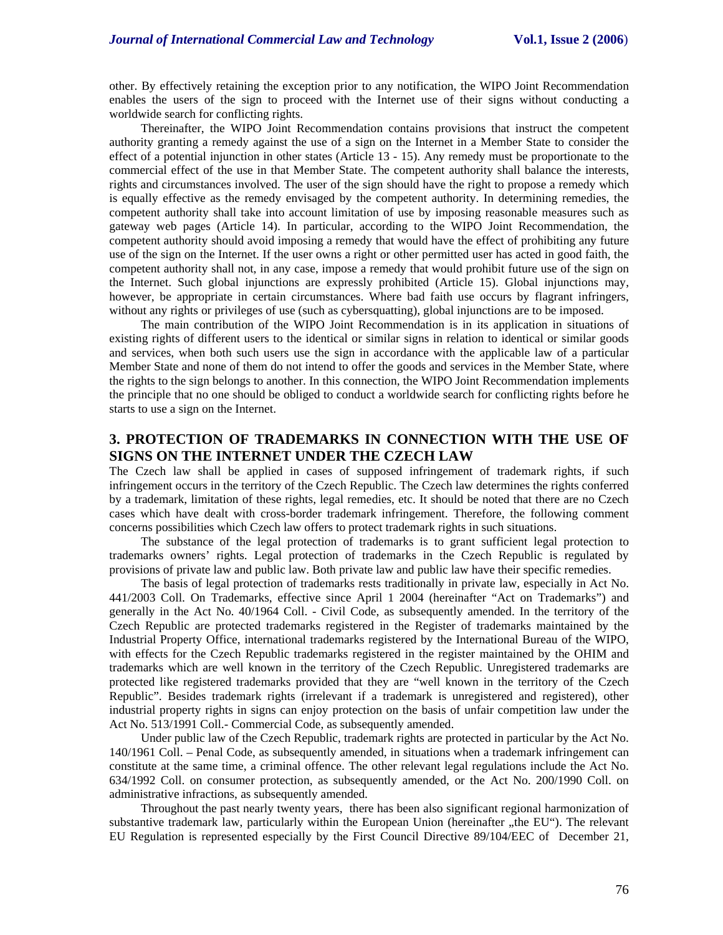other. By effectively retaining the exception prior to any notification, the WIPO Joint Recommendation enables the users of the sign to proceed with the Internet use of their signs without conducting a worldwide search for conflicting rights.

Thereinafter, the WIPO Joint Recommendation contains provisions that instruct the competent authority granting a remedy against the use of a sign on the Internet in a Member State to consider the effect of a potential injunction in other states (Article 13 - 15). Any remedy must be proportionate to the commercial effect of the use in that Member State. The competent authority shall balance the interests, rights and circumstances involved. The user of the sign should have the right to propose a remedy which is equally effective as the remedy envisaged by the competent authority. In determining remedies, the competent authority shall take into account limitation of use by imposing reasonable measures such as gateway web pages (Article 14). In particular, according to the WIPO Joint Recommendation, the competent authority should avoid imposing a remedy that would have the effect of prohibiting any future use of the sign on the Internet. If the user owns a right or other permitted user has acted in good faith, the competent authority shall not, in any case, impose a remedy that would prohibit future use of the sign on the Internet. Such global injunctions are expressly prohibited (Article 15). Global injunctions may, however, be appropriate in certain circumstances. Where bad faith use occurs by flagrant infringers, without any rights or privileges of use (such as cybersquatting), global injunctions are to be imposed.

The main contribution of the WIPO Joint Recommendation is in its application in situations of existing rights of different users to the identical or similar signs in relation to identical or similar goods and services, when both such users use the sign in accordance with the applicable law of a particular Member State and none of them do not intend to offer the goods and services in the Member State, where the rights to the sign belongs to another. In this connection, the WIPO Joint Recommendation implements the principle that no one should be obliged to conduct a worldwide search for conflicting rights before he starts to use a sign on the Internet.

# **3. PROTECTION OF TRADEMARKS IN CONNECTION WITH THE USE OF SIGNS ON THE INTERNET UNDER THE CZECH LAW**

The Czech law shall be applied in cases of supposed infringement of trademark rights, if such infringement occurs in the territory of the Czech Republic. The Czech law determines the rights conferred by a trademark, limitation of these rights, legal remedies, etc. It should be noted that there are no Czech cases which have dealt with cross-border trademark infringement. Therefore, the following comment concerns possibilities which Czech law offers to protect trademark rights in such situations.

The substance of the legal protection of trademarks is to grant sufficient legal protection to trademarks owners' rights. Legal protection of trademarks in the Czech Republic is regulated by provisions of private law and public law. Both private law and public law have their specific remedies.

The basis of legal protection of trademarks rests traditionally in private law, especially in Act No. 441/2003 Coll. On Trademarks, effective since April 1 2004 (hereinafter "Act on Trademarks") and generally in the Act No. 40/1964 Coll. - Civil Code, as subsequently amended. In the territory of the Czech Republic are protected trademarks registered in the Register of trademarks maintained by the Industrial Property Office, international trademarks registered by the International Bureau of the WIPO, with effects for the Czech Republic trademarks registered in the register maintained by the OHIM and trademarks which are well known in the territory of the Czech Republic. Unregistered trademarks are protected like registered trademarks provided that they are "well known in the territory of the Czech Republic". Besides trademark rights (irrelevant if a trademark is unregistered and registered), other industrial property rights in signs can enjoy protection on the basis of unfair competition law under the Act No. 513/1991 Coll.- Commercial Code, as subsequently amended.

Under public law of the Czech Republic, trademark rights are protected in particular by the Act No. 140/1961 Coll. – Penal Code, as subsequently amended, in situations when a trademark infringement can constitute at the same time, a criminal offence. The other relevant legal regulations include the Act No. 634/1992 Coll. on consumer protection, as subsequently amended, or the Act No. 200/1990 Coll. on administrative infractions, as subsequently amended.

Throughout the past nearly twenty years, there has been also significant regional harmonization of substantive trademark law, particularly within the European Union (hereinafter "the EU"). The relevant EU Regulation is represented especially by the First Council Directive 89/104/EEC of December 21,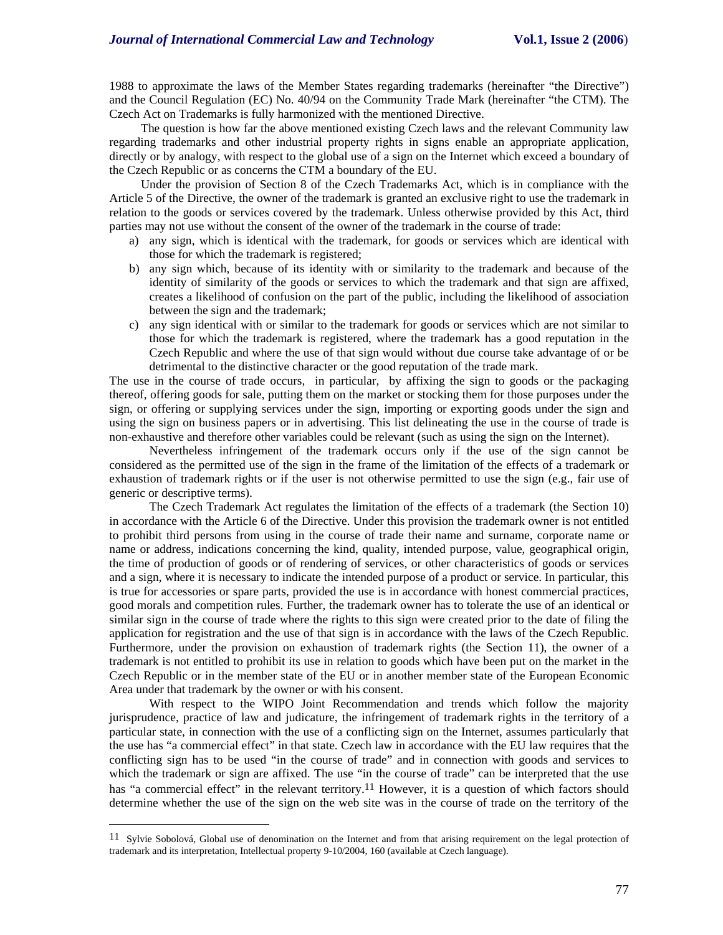1988 to approximate the laws of the Member States regarding trademarks (hereinafter "the Directive") and the Council Regulation (EC) No. 40/94 on the Community Trade Mark (hereinafter "the CTM). The Czech Act on Trademarks is fully harmonized with the mentioned Directive.

The question is how far the above mentioned existing Czech laws and the relevant Community law regarding trademarks and other industrial property rights in signs enable an appropriate application, directly or by analogy, with respect to the global use of a sign on the Internet which exceed a boundary of the Czech Republic or as concerns the CTM a boundary of the EU.

Under the provision of Section 8 of the Czech Trademarks Act, which is in compliance with the Article 5 of the Directive, the owner of the trademark is granted an exclusive right to use the trademark in relation to the goods or services covered by the trademark. Unless otherwise provided by this Act, third parties may not use without the consent of the owner of the trademark in the course of trade:

- a) any sign, which is identical with the trademark, for goods or services which are identical with those for which the trademark is registered;
- b) any sign which, because of its identity with or similarity to the trademark and because of the identity of similarity of the goods or services to which the trademark and that sign are affixed, creates a likelihood of confusion on the part of the public, including the likelihood of association between the sign and the trademark;
- c) any sign identical with or similar to the trademark for goods or services which are not similar to those for which the trademark is registered, where the trademark has a good reputation in the Czech Republic and where the use of that sign would without due course take advantage of or be detrimental to the distinctive character or the good reputation of the trade mark.

The use in the course of trade occurs, in particular, by affixing the sign to goods or the packaging thereof, offering goods for sale, putting them on the market or stocking them for those purposes under the sign, or offering or supplying services under the sign, importing or exporting goods under the sign and using the sign on business papers or in advertising. This list delineating the use in the course of trade is non-exhaustive and therefore other variables could be relevant (such as using the sign on the Internet).

Nevertheless infringement of the trademark occurs only if the use of the sign cannot be considered as the permitted use of the sign in the frame of the limitation of the effects of a trademark or exhaustion of trademark rights or if the user is not otherwise permitted to use the sign (e.g., fair use of generic or descriptive terms).

The Czech Trademark Act regulates the limitation of the effects of a trademark (the Section 10) in accordance with the Article 6 of the Directive. Under this provision the trademark owner is not entitled to prohibit third persons from using in the course of trade their name and surname, corporate name or name or address, indications concerning the kind, quality, intended purpose, value, geographical origin, the time of production of goods or of rendering of services, or other characteristics of goods or services and a sign, where it is necessary to indicate the intended purpose of a product or service. In particular, this is true for accessories or spare parts, provided the use is in accordance with honest commercial practices, good morals and competition rules. Further, the trademark owner has to tolerate the use of an identical or similar sign in the course of trade where the rights to this sign were created prior to the date of filing the application for registration and the use of that sign is in accordance with the laws of the Czech Republic. Furthermore, under the provision on exhaustion of trademark rights (the Section 11), the owner of a trademark is not entitled to prohibit its use in relation to goods which have been put on the market in the Czech Republic or in the member state of the EU or in another member state of the European Economic Area under that trademark by the owner or with his consent.

With respect to the WIPO Joint Recommendation and trends which follow the majority jurisprudence, practice of law and judicature, the infringement of trademark rights in the territory of a particular state, in connection with the use of a conflicting sign on the Internet, assumes particularly that the use has "a commercial effect" in that state. Czech law in accordance with the EU law requires that the conflicting sign has to be used "in the course of trade" and in connection with goods and services to which the trademark or sign are affixed. The use "in the course of trade" can be interpreted that the use has "a commercial effect" in the relevant territory.<sup>11</sup> However, it is a question of which factors should determine whether the use of the sign on the web site was in the course of trade on the territory of the

 $\overline{a}$ 

<sup>11</sup> Sylvie Sobolová, Global use of denomination on the Internet and from that arising requirement on the legal protection of trademark and its interpretation, Intellectual property 9-10/2004, 160 (available at Czech language).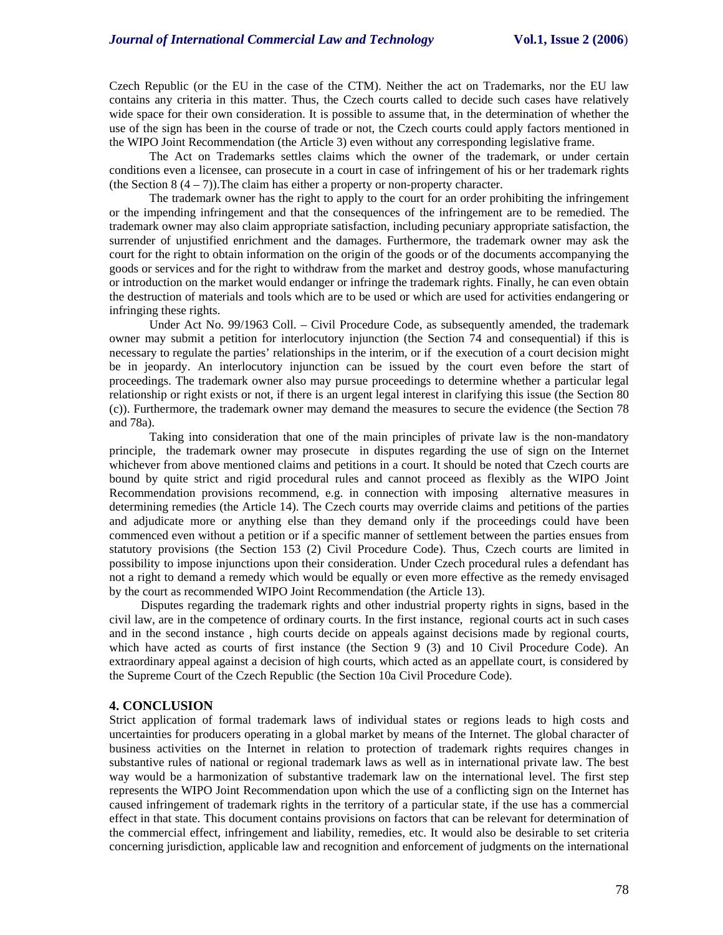Czech Republic (or the EU in the case of the CTM). Neither the act on Trademarks, nor the EU law contains any criteria in this matter. Thus, the Czech courts called to decide such cases have relatively wide space for their own consideration. It is possible to assume that, in the determination of whether the use of the sign has been in the course of trade or not, the Czech courts could apply factors mentioned in the WIPO Joint Recommendation (the Article 3) even without any corresponding legislative frame.

The Act on Trademarks settles claims which the owner of the trademark, or under certain conditions even a licensee, can prosecute in a court in case of infringement of his or her trademark rights (the Section  $8(4-7)$ ). The claim has either a property or non-property character.

The trademark owner has the right to apply to the court for an order prohibiting the infringement or the impending infringement and that the consequences of the infringement are to be remedied. The trademark owner may also claim appropriate satisfaction, including pecuniary appropriate satisfaction, the surrender of unjustified enrichment and the damages. Furthermore, the trademark owner may ask the court for the right to obtain information on the origin of the goods or of the documents accompanying the goods or services and for the right to withdraw from the market and destroy goods, whose manufacturing or introduction on the market would endanger or infringe the trademark rights. Finally, he can even obtain the destruction of materials and tools which are to be used or which are used for activities endangering or infringing these rights.

Under Act No. 99/1963 Coll. – Civil Procedure Code, as subsequently amended, the trademark owner may submit a petition for interlocutory injunction (the Section 74 and consequential) if this is necessary to regulate the parties' relationships in the interim, or if the execution of a court decision might be in jeopardy. An interlocutory injunction can be issued by the court even before the start of proceedings. The trademark owner also may pursue proceedings to determine whether a particular legal relationship or right exists or not, if there is an urgent legal interest in clarifying this issue (the Section 80 (c)). Furthermore, the trademark owner may demand the measures to secure the evidence (the Section 78 and 78a).

Taking into consideration that one of the main principles of private law is the non-mandatory principle, the trademark owner may prosecute in disputes regarding the use of sign on the Internet whichever from above mentioned claims and petitions in a court. It should be noted that Czech courts are bound by quite strict and rigid procedural rules and cannot proceed as flexibly as the WIPO Joint Recommendation provisions recommend, e.g. in connection with imposing alternative measures in determining remedies (the Article 14). The Czech courts may override claims and petitions of the parties and adjudicate more or anything else than they demand only if the proceedings could have been commenced even without a petition or if a specific manner of settlement between the parties ensues from statutory provisions (the Section 153 (2) Civil Procedure Code). Thus, Czech courts are limited in possibility to impose injunctions upon their consideration. Under Czech procedural rules a defendant has not a right to demand a remedy which would be equally or even more effective as the remedy envisaged by the court as recommended WIPO Joint Recommendation (the Article 13).

Disputes regarding the trademark rights and other industrial property rights in signs, based in the civil law, are in the competence of ordinary courts. In the first instance, regional courts act in such cases and in the second instance , high courts decide on appeals against decisions made by regional courts, which have acted as courts of first instance (the Section 9 (3) and 10 Civil Procedure Code). An extraordinary appeal against a decision of high courts, which acted as an appellate court, is considered by the Supreme Court of the Czech Republic (the Section 10a Civil Procedure Code).

### **4. CONCLUSION**

Strict application of formal trademark laws of individual states or regions leads to high costs and uncertainties for producers operating in a global market by means of the Internet. The global character of business activities on the Internet in relation to protection of trademark rights requires changes in substantive rules of national or regional trademark laws as well as in international private law. The best way would be a harmonization of substantive trademark law on the international level. The first step represents the WIPO Joint Recommendation upon which the use of a conflicting sign on the Internet has caused infringement of trademark rights in the territory of a particular state, if the use has a commercial effect in that state. This document contains provisions on factors that can be relevant for determination of the commercial effect, infringement and liability, remedies, etc. It would also be desirable to set criteria concerning jurisdiction, applicable law and recognition and enforcement of judgments on the international